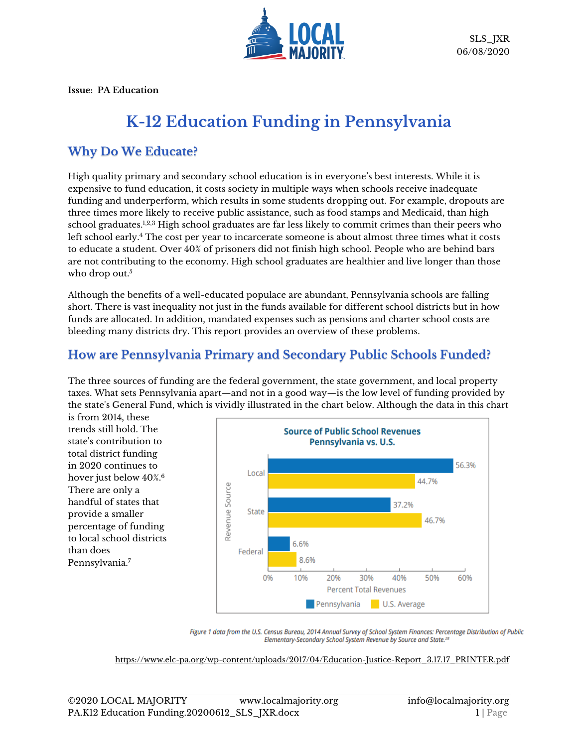

**Issue: PA Education**

# **K-12 Education Funding in Pennsylvania**

## **Why Do We Educate?**

High quality primary and secondary school education is in everyone's best interests. While it is expensive to fund education, it costs society in multiple ways when schools receive inadequate funding and underperform, which results in some students dropping out. For example, dropouts are three times more likely to receive public assistance, such as food stamps and Medicaid, than high school graduates.<sup>1,2,3</sup> High school graduates are far less likely to commit crimes than their peers who left school early. <sup>4</sup> The cost per year to incarcerate someone is about almost three times what it costs to educate a student. Over 40% of prisoners did not finish high school. People who are behind bars are not contributing to the economy. High school graduates are healthier and live longer than those who drop out. $5$ 

Although the benefits of a well-educated populace are abundant, Pennsylvania schools are falling short. There is vast inequality not just in the funds available for different school districts but in how funds are allocated. In addition, mandated expenses such as pensions and charter school costs are bleeding many districts dry. This report provides an overview of these problems.

## **How are Pennsylvania Primary and Secondary Public Schools Funded?**

The three sources of funding are the federal government, the state government, and local property taxes. What sets Pennsylvania apart—and not in a good way—is the low level of funding provided by the state's General Fund, which is vividly illustrated in the chart below. Although the data in this chart

is from 2014, these trends still hold. The state's contribution to total district funding in 2020 continues to hover just below 40%. 6 There are only a handful of states that provide a smaller percentage of funding to local school districts than does Pennsylvania.<sup>7</sup>



Figure 1 data from the U.S. Census Bureau, 2014 Annual Survey of School System Finances: Percentage Distribution of Public Elementary-Secondary School System Revenue by Source and State.<sup>28</sup>

[https://www.elc-pa.org/wp-content/uploads/2017/04/Education-Justice-Report\\_3.17.17\\_PRINTER.pdf](https://www.elc-pa.org/wp-content/uploads/2017/04/Education-Justice-Report_3.17.17_PRINTER.pdf)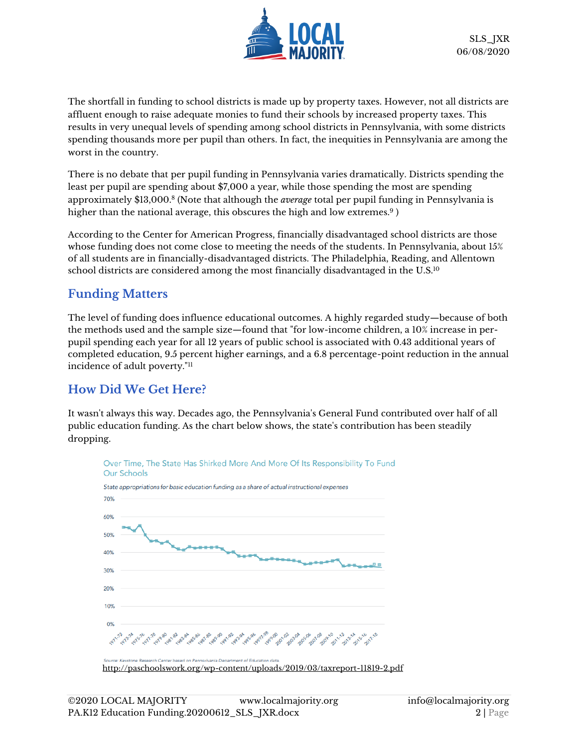

The shortfall in funding to school districts is made up by property taxes. However, not all districts are affluent enough to raise adequate monies to fund their schools by increased property taxes. This results in very unequal levels of spending among school districts in Pennsylvania, with some districts spending thousands more per pupil than others. In fact, the inequities in Pennsylvania are among the worst in the country.

There is no debate that per pupil funding in Pennsylvania varies dramatically. Districts spending the least per pupil are spending about \$7,000 a year, while those spending the most are spending approximately \$13,000.<sup>8</sup> (Note that although the *average* total per pupil funding in Pennsylvania is higher than the national average, this obscures the high and low extremes. $^9$  )

According to the Center for American Progress, financially disadvantaged school districts are those whose funding does not come close to meeting the needs of the students. In Pennsylvania, about 15% of all students are in financially-disadvantaged districts. The Philadelphia, Reading, and Allentown school districts are considered among the most financially disadvantaged in the  $\rm U.S.^{\rm 10}$ 

## **Funding Matters**

The level of funding does influence educational outcomes. A highly regarded study—because of both the methods used and the sample size—found that "for low-income children, a 10% increase in perpupil spending each year for all 12 years of public school is associated with 0.43 additional years of completed education, 9.5 percent higher earnings, and a 6.8 percentage-point reduction in the annual incidence of adult poverty."<sup>11</sup>

## **How Did We Get Here?**

It wasn't always this way. Decades ago, the Pennsylvania's General Fund contributed over half of all public education funding. As the chart below shows, the state's contribution has been steadily dropping.

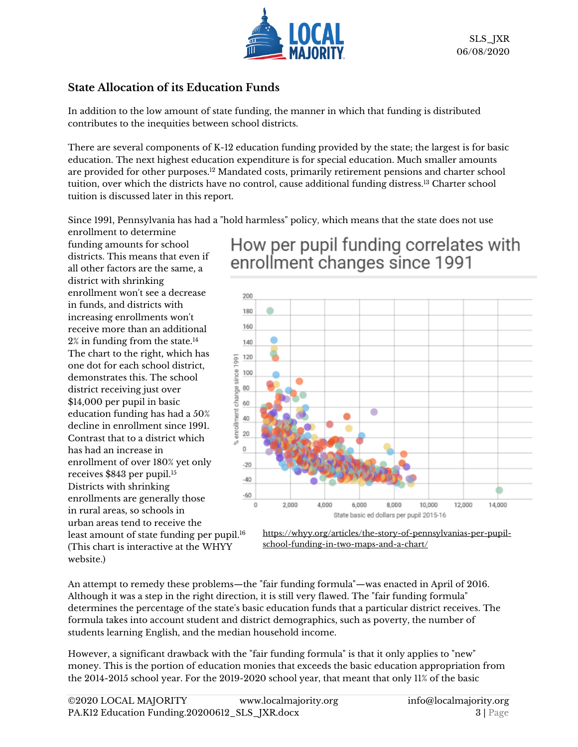

## **State Allocation of its Education Funds**

In addition to the low amount of state funding, the manner in which that funding is distributed contributes to the inequities between school districts.

There are several components of K-12 education funding provided by the state; the largest is for basic education. The next highest education expenditure is for special education. Much smaller amounts are provided for other purposes.<sup>12</sup> Mandated costs, primarily retirement pensions and charter school tuition, over which the districts have no control, cause additional funding distress.<sup>13</sup> Charter school tuition is discussed later in this report.

Since 1991, Pennsylvania has had a "hold harmless" policy, which means that the state does not use

enrollment to determine funding amounts for school districts. This means that even if all other factors are the same, a district with shrinking enrollment won't see a decrease in funds, and districts with increasing enrollments won't receive more than an additional 2% in funding from the state.<sup>14</sup> The chart to the right, which has one dot for each school district, demonstrates this. The school district receiving just over \$14,000 per pupil in basic education funding has had a 50% decline in enrollment since 1991. Contrast that to a district which has had an increase in enrollment of over 180% yet only receives \$843 per pupil.<sup>15</sup> Districts with shrinking enrollments are generally those in rural areas, so schools in urban areas tend to receive the least amount of state funding per pupil. 16 (This chart is interactive at the WHYY

website.)

## How per pupil funding correlates with enrollment changes since 1991



[https://whyy.org/articles/the-story-of-pennsylvanias-per-pupil](https://whyy.org/articles/the-story-of-pennsylvanias-per-pupil-school-funding-in-two-maps-and-a-chart/)[school-funding-in-two-maps-and-a-chart/](https://whyy.org/articles/the-story-of-pennsylvanias-per-pupil-school-funding-in-two-maps-and-a-chart/)

An attempt to remedy these problems—the "fair funding formula"—was enacted in April of 2016. Although it was a step in the right direction, it is still very flawed. The "fair funding formula" determines the percentage of the state's basic education funds that a particular district receives. The formula takes into account student and district demographics, such as poverty, the number of students learning English, and the median household income.

However, a significant drawback with the "fair funding formula" is that it only applies to "new" money. This is the portion of education monies that exceeds the basic education appropriation from the 2014-2015 school year. For the 2019-2020 school year, that meant that only 11% of the basic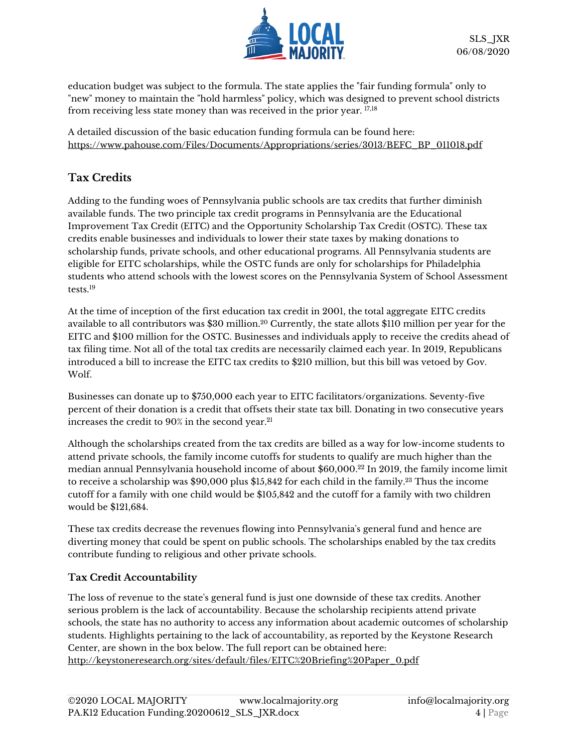

education budget was subject to the formula. The state applies the "fair funding formula" only to "new" money to maintain the "hold harmless" policy, which was designed to prevent school districts from receiving less state money than was received in the prior year. 17,18

A detailed discussion of the basic education funding formula can be found here: [https://www.pahouse.com/Files/Documents/Appropriations/series/3013/BEFC\\_BP\\_011018.pdf](https://www.pahouse.com/Files/Documents/Appropriations/series/3013/BEFC_BP_011018.pdf)

## **Tax Credits**

Adding to the funding woes of Pennsylvania public schools are tax credits that further diminish available funds. The two principle tax credit programs in Pennsylvania are the Educational Improvement Tax Credit (EITC) and the Opportunity Scholarship Tax Credit (OSTC). These tax credits enable businesses and individuals to lower their state taxes by making donations to scholarship funds, private schools, and other educational programs. All Pennsylvania students are eligible for EITC scholarships, while the OSTC funds are only for scholarships for Philadelphia students who attend schools with the lowest scores on the Pennsylvania System of School Assessment tests. 19

At the time of inception of the first education tax credit in 2001, the total aggregate EITC credits available to all contributors was \$30 million.<sup>20</sup> Currently, the state allots \$110 million per year for the EITC and \$100 million for the OSTC. Businesses and individuals apply to receive the credits ahead of tax filing time. Not all of the total tax credits are necessarily claimed each year. In 2019, Republicans introduced a bill to increase the EITC tax credits to \$210 million, but this bill was vetoed by Gov. Wolf.

Businesses can donate up to \$750,000 each year to EITC facilitators/organizations. Seventy-five percent of their donation is a credit that offsets their state tax bill. Donating in two consecutive years increases the credit to 90% in the second year. 21

Although the scholarships created from the tax credits are billed as a way for low-income students to attend private schools, the family income cutoffs for students to qualify are much higher than the median annual Pennsylvania household income of about \$60,000. <sup>22</sup> In 2019, the family income limit to receive a scholarship was \$90,000 plus \$15,842 for each child in the family.<sup>23</sup> Thus the income cutoff for a family with one child would be \$105,842 and the cutoff for a family with two children would be \$121,684.

These tax credits decrease the revenues flowing into Pennsylvania's general fund and hence are diverting money that could be spent on public schools. The scholarships enabled by the tax credits contribute funding to religious and other private schools.

#### **Tax Credit Accountability**

The loss of revenue to the state's general fund is just one downside of these tax credits. Another serious problem is the lack of accountability. Because the scholarship recipients attend private schools, the state has no authority to access any information about academic outcomes of scholarship students. Highlights pertaining to the lack of accountability, as reported by the Keystone Research Center, are shown in the box below. The full report can be obtained here: [http://keystoneresearch.org/sites/default/files/EITC%20Briefing%20Paper\\_0.pdf](http://keystoneresearch.org/sites/default/files/EITC%20Briefing%20Paper_0.pdf)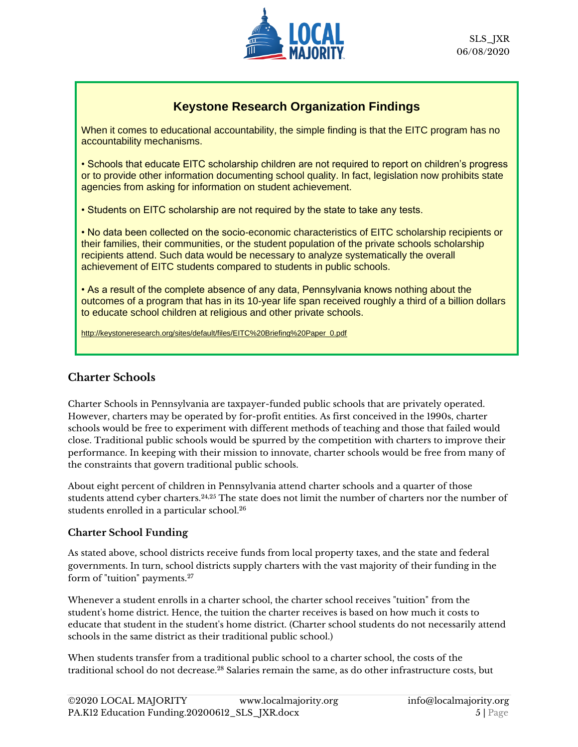

## **Keystone Research Organization Findings**

When it comes to educational accountability, the simple finding is that the EITC program has no accountability mechanisms.

• Schools that educate EITC scholarship children are not required to report on children's progress or to provide other information documenting school quality. In fact, legislation now prohibits state agencies from asking for information on student achievement.

• Students on EITC scholarship are not required by the state to take any tests.

• No data been collected on the socio-economic characteristics of EITC scholarship recipients or their families, their communities, or the student population of the private schools scholarship recipients attend. Such data would be necessary to analyze systematically the overall achievement of EITC students compared to students in public schools.

• As a result of the complete absence of any data, Pennsylvania knows nothing about the outcomes of a program that has in its 10-year life span received roughly a third of a billion dollars to educate school children at religious and other private schools.

[http://keystoneresearch.org/sites/default/files/EITC%20Briefing%20Paper\\_0.pdf](http://keystoneresearch.org/sites/default/files/EITC%20Briefing%20Paper_0.pdf)

#### **Charter Schools**

Charter Schools in Pennsylvania are taxpayer-funded public schools that are privately operated. However, charters may be operated by for-profit entities. As first conceived in the 1990s, charter schools would be free to experiment with different methods of teaching and those that failed would close. Traditional public schools would be spurred by the competition with charters to improve their performance. In keeping with their mission to innovate, charter schools would be free from many of the constraints that govern traditional public schools.

About eight percent of children in Pennsylvania attend charter schools and a quarter of those students attend cyber charters.24,25 The state does not limit the number of charters nor the number of students enrolled in a particular school.<sup>26</sup>

#### **Charter School Funding**

As stated above, school districts receive funds from local property taxes, and the state and federal governments. In turn, school districts supply charters with the vast majority of their funding in the form of "tuition" payments.<sup>27</sup>

Whenever a student enrolls in a charter school, the charter school receives "tuition" from the student's home district. Hence, the tuition the charter receives is based on how much it costs to educate that student in the student's home district. (Charter school students do not necessarily attend schools in the same district as their traditional public school.)

When students transfer from a traditional public school to a charter school, the costs of the traditional school do not decrease. <sup>28</sup> Salaries remain the same, as do other infrastructure costs, but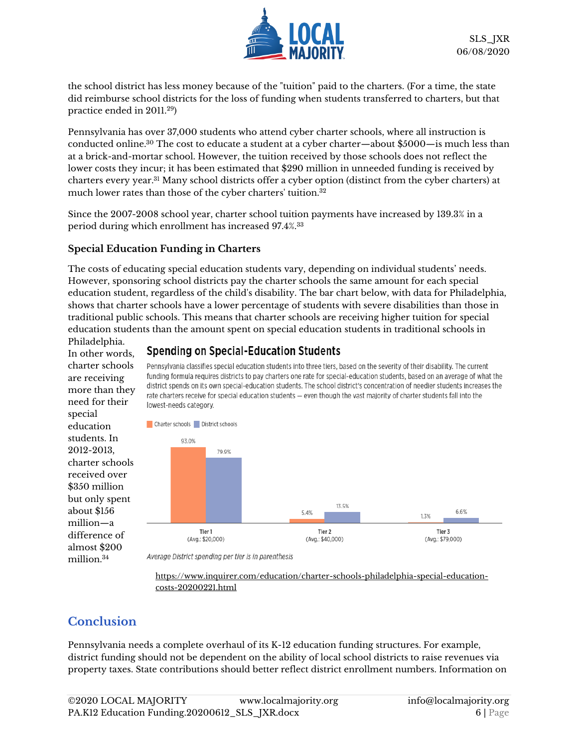

the school district has less money because of the "tuition" paid to the charters. (For a time, the state did reimburse school districts for the loss of funding when students transferred to charters, but that practice ended in 2011.<sup>29</sup>)

Pennsylvania has over 37,000 students who attend cyber charter schools, where all instruction is conducted online.<sup>30</sup> The cost to educate a student at a cyber charter—about \$5000—is much less than at a brick-and-mortar school. However, the tuition received by those schools does not reflect the lower costs they incur; it has been estimated that \$290 million in unneeded funding is received by charters every year.<sup>31</sup> Many school districts offer a cyber option (distinct from the cyber charters) at much lower rates than those of the cyber charters' tuition.<sup>32</sup>

Since the 2007-2008 school year, charter school tuition payments have increased by 139.3% in a period during which enrollment has increased 97.4%.<sup>33</sup>

#### **Special Education Funding in Charters**

The costs of educating special education students vary, depending on individual students' needs. However, sponsoring school districts pay the charter schools the same amount for each special education student, regardless of the child's disability. The bar chart below, with data for Philadelphia, shows that charter schools have a lower percentage of students with severe disabilities than those in traditional public schools. This means that charter schools are receiving higher tuition for special education students than the amount spent on special education students in traditional schools in

Philadelphia. In other words, charter schools are receiving more than they need for their special education students. In 2012-2013, charter schools received over \$350 million but only spent about \$156 million—a difference of almost \$200 million. 34

## **Spending on Special-Education Students**

Pennsylvania classifies special education students into three tiers, based on the severity of their disability. The current funding formula requires districts to pay charters one rate for special-education students, based on an average of what the district spends on its own special-education students. The school district's concentration of needier students increases the rate charters receive for special education students - even though the vast majority of charter students fall into the lowest-needs category.



Average District spending per tier is in parenthesis

[https://www.inquirer.com/education/charter-schools-philadelphia-special-education](https://www.inquirer.com/education/charter-schools-philadelphia-special-education-costs-20200221.html)[costs-20200221.html](https://www.inquirer.com/education/charter-schools-philadelphia-special-education-costs-20200221.html)

## **Conclusion**

Pennsylvania needs a complete overhaul of its K-12 education funding structures. For example, district funding should not be dependent on the ability of local school districts to raise revenues via property taxes. State contributions should better reflect district enrollment numbers. Information on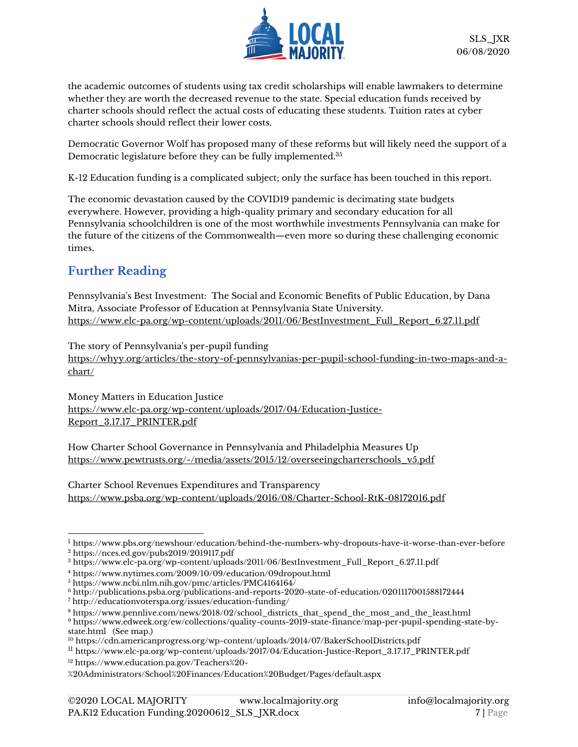

the academic outcomes of students using tax credit scholarships will enable lawmakers to determine whether they are worth the decreased revenue to the state. Special education funds received by charter schools should reflect the actual costs of educating these students. Tuition rates at cyber charter schools should reflect their lower costs.

Democratic Governor Wolf has proposed many of these reforms but will likely need the support of a Democratic legislature before they can be fully implemented.<sup>35</sup>

K-12 Education funding is a complicated subject; only the surface has been touched in this report.

The economic devastation caused by the COVID19 pandemic is decimating state budgets everywhere. However, providing a high-quality primary and secondary education for all Pennsylvania schoolchildren is one of the most worthwhile investments Pennsylvania can make for the future of the citizens of the Commonwealth—even more so during these challenging economic times.

## **Further Reading**

Pennsylvania's Best Investment: The Social and Economic Benefits of Public Education, by Dana Mitra, Associate Professor of Education at Pennsylvania State University. [https://www.elc-pa.org/wp-content/uploads/2011/06/BestInvestment\\_Full\\_Report\\_6.27.11.pdf](https://www.elc-pa.org/wp-content/uploads/2011/06/BestInvestment_Full_Report_6.27.11.pdf)

The story of Pennsylvania's per-pupil funding

[https://whyy.org/articles/the-story-of-pennsylvanias-per-pupil-school-funding-in-two-maps-and-a](https://whyy.org/articles/the-story-of-pennsylvanias-per-pupil-school-funding-in-two-maps-and-a-chart/)[chart/](https://whyy.org/articles/the-story-of-pennsylvanias-per-pupil-school-funding-in-two-maps-and-a-chart/)

Money Matters in Education Justice [https://www.elc-pa.org/wp-content/uploads/2017/04/Education-Justice-](https://www.elc-pa.org/wp-content/uploads/2017/04/Education-Justice-Report_3.17.17_PRINTER.pdf)[Report\\_3.17.17\\_PRINTER.pdf](https://www.elc-pa.org/wp-content/uploads/2017/04/Education-Justice-Report_3.17.17_PRINTER.pdf)

How Charter School Governance in Pennsylvania and Philadelphia Measures Up [https://www.pewtrusts.org/-/media/assets/2015/12/overseeingcharterschools\\_v5.pdf](https://www.pewtrusts.org/-/media/assets/2015/12/overseeingcharterschools_v5.pdf)

Charter School Revenues Expenditures and Transparency <https://www.psba.org/wp-content/uploads/2016/08/Charter-School-RtK-08172016.pdf>

<sup>1</sup> <https://www.pbs.org/newshour/education/behind-the-numbers-why-dropouts-have-it-worse-than-ever-before>

<sup>2</sup> <https://nces.ed.gov/pubs2019/2019117.pdf>

<sup>3</sup> [https://www.elc-pa.org/wp-content/uploads/2011/06/BestInvestment\\_Full\\_Report\\_6.27.11.pdf](https://www.elc-pa.org/wp-content/uploads/2011/06/BestInvestment_Full_Report_6.27.11.pdf)

<sup>4</sup> <https://www.nytimes.com/2009/10/09/education/09dropout.html>

<sup>5</sup> <https://www.ncbi.nlm.nih.gov/pmc/articles/PMC4164164/>

<sup>6</sup> <http://publications.psba.org/publications-and-reports-2020-state-of-education/0201117001588172444>

<sup>7</sup> <http://educationvoterspa.org/issues/education-funding/>

<sup>8</sup> [https://www.pennlive.com/news/2018/02/school\\_districts\\_that\\_spend\\_the\\_most\\_and\\_the\\_least.html](https://www.pennlive.com/news/2018/02/school_districts_that_spend_the_most_and_the_least.html) <sup>9</sup> [https://www.edweek.org/ew/collections/quality-counts-2019-state-finance/map-per-pupil-spending-state-by](https://www.edweek.org/ew/collections/quality-counts-2019-state-finance/map-per-pupil-spending-state-by-state.html)[state.html](https://www.edweek.org/ew/collections/quality-counts-2019-state-finance/map-per-pupil-spending-state-by-state.html) (See map.)

<sup>10</sup> <https://cdn.americanprogress.org/wp-content/uploads/2014/07/BakerSchoolDistricts.pdf>

<sup>11</sup> [https://www.elc-pa.org/wp-content/uploads/2017/04/Education-Justice-Report\\_3.17.17\\_PRINTER.pdf](https://www.elc-pa.org/wp-content/uploads/2017/04/Education-Justice-Report_3.17.17_PRINTER.pdf)

<sup>12</sup> [https://www.education.pa.gov/Teachers%20-](https://www.education.pa.gov/Teachers%20-%20Administrators/School%20Finances/Education%20Budget/Pages/default.aspx)

[<sup>%20</sup>Administrators/School%20Finances/Education%20Budget/Pages/default.aspx](https://www.education.pa.gov/Teachers%20-%20Administrators/School%20Finances/Education%20Budget/Pages/default.aspx)